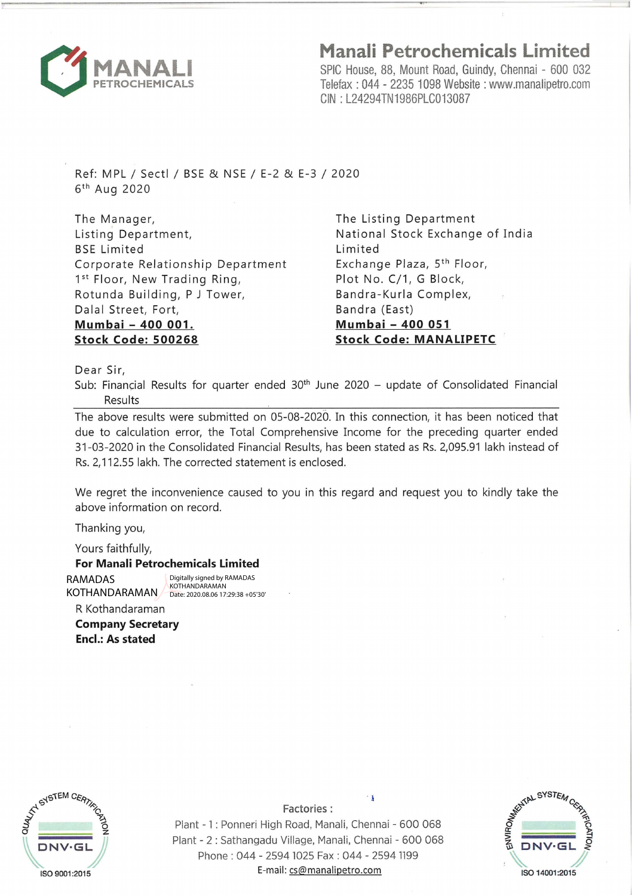

## **Manali Petrochemicals Limited**

SPIC House, 88, Mount Road, Guindy, Chennai - 600 032 Telefax : 044 - 2235 1098 Website : www.manalipetro.com GIN : L24294TN1986PLC013087

Ref: MPL / Sectl / BSE & NSE / E-2 & E-3 / 2020  $6<sup>th</sup>$  Aug 2020

The Manager, Listing Department, BSE Limited Corporate Relationship Department 1st Floor, New Trading Ring, Rotunda Building, P J Tower, Dalal Street, Fort, **Mumbai - 400 001. Stock Code: 500268** 

The Listing Department National Stock Exchange of India Limited Exchange Plaza, 5<sup>th</sup> Floor, Plot No. C/1, G Block, Bandra-Kurla Complex, Bandra (East) **Mumbai - 400 051 Stock Code: MANALIPETC** 

Dear Sir,

Sub: Financial Results for quarter ended  $30<sup>th</sup>$  June 2020 – update of Consolidated Financial Results

The above results were submitted on 05-08-2020. In this connection, it has been noticed that due to calculation error, the Total Comprehensive Income for the preceding quarter ended 31-03-2020 in the Consolidated Financial Results, has been stated as Rs. 2,095.91 lakh instead of Rs. 2,112.55 lakh. The corrected statement is enclosed.

We regret the inconvenience caused to you in this regard and request you to kindly take the above information on record.

Thanking you,

Yours faithfully,

**For Manali Petrochemicals Limited** 

KOTHANDARAMAN Date: 2020.08.06 17:29:38 +05'30'Digitally signed by RAMADAS KOTHANDARAMAN

R Kothandaraman **Company Secretary** 

**Encl.: As stated** 



 $Factories:$ Plant - 1 : Ponneri High Road, Manali, Chennai - 600 068 Plant - 2 : Sathangadu Village, Manali, Chennai - 600 068 Phone : 044 - 2594 1025 Fax : 044 - 2594 1199 E-mail: cs@manalipetro.com RAMADAR<br>
MCMADARAMAN / SOME MONARAMAN<br>
R Kothandaraman<br> **Company Secretary**<br> **Factories :**<br>
Plant - 1 : Ponneri High Road, Manali, Chennai - 600 068<br>
Plant - 2 : Sathangadu Village, Manali, Chennai - 600 068<br>
Phone : 044 -